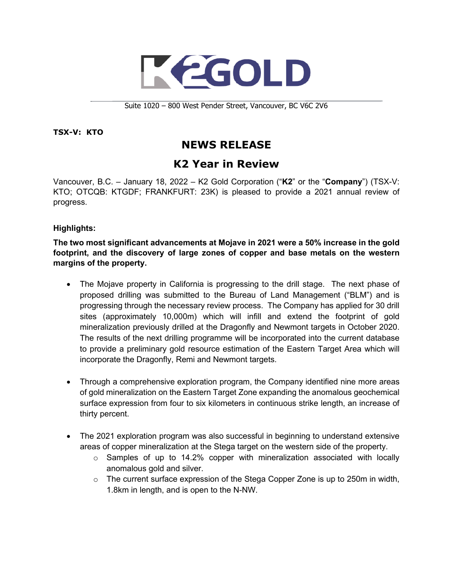

Suite 1020 – 800 West Pender Street, Vancouver, BC V6C 2V6

## **TSX-V: KTO**

# **NEWS RELEASE**

# **K2 Year in Review**

Vancouver, B.C. – January 18, 2022 – K2 Gold Corporation ("**K2**" or the "**Company**") (TSX-V: KTO; OTCQB: KTGDF; FRANKFURT: 23K) is pleased to provide a 2021 annual review of progress.

## **Highlights:**

**The two most significant advancements at Mojave in 2021 were a 50% increase in the gold footprint, and the discovery of large zones of copper and base metals on the western margins of the property.** 

- The Mojave property in California is progressing to the drill stage. The next phase of proposed drilling was submitted to the Bureau of Land Management ("BLM") and is progressing through the necessary review process. The Company has applied for 30 drill sites (approximately 10,000m) which will infill and extend the footprint of gold mineralization previously drilled at the Dragonfly and Newmont targets in October 2020. The results of the next drilling programme will be incorporated into the current database to provide a preliminary gold resource estimation of the Eastern Target Area which will incorporate the Dragonfly, Remi and Newmont targets.
- Through a comprehensive exploration program, the Company identified nine more areas of gold mineralization on the Eastern Target Zone expanding the anomalous geochemical surface expression from four to six kilometers in continuous strike length, an increase of thirty percent.
- The 2021 exploration program was also successful in beginning to understand extensive areas of copper mineralization at the Stega target on the western side of the property.
	- $\circ$  Samples of up to 14.2% copper with mineralization associated with locally anomalous gold and silver.
	- $\circ$  The current surface expression of the Stega Copper Zone is up to 250m in width, 1.8km in length, and is open to the N-NW.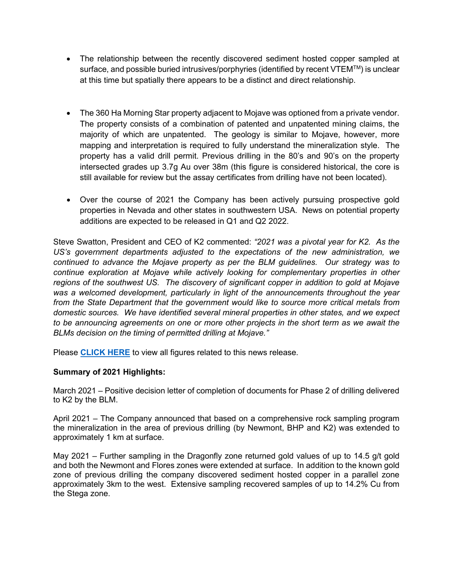- The relationship between the recently discovered sediment hosted copper sampled at surface, and possible buried intrusives/porphyries (identified by recent VTEM™) is unclear at this time but spatially there appears to be a distinct and direct relationship.
- The 360 Ha Morning Star property adjacent to Mojave was optioned from a private vendor. The property consists of a combination of patented and unpatented mining claims, the majority of which are unpatented. The geology is similar to Mojave, however, more mapping and interpretation is required to fully understand the mineralization style. The property has a valid drill permit. Previous drilling in the 80's and 90's on the property intersected grades up 3.7g Au over 38m (this figure is considered historical, the core is still available for review but the assay certificates from drilling have not been located).
- Over the course of 2021 the Company has been actively pursuing prospective gold properties in Nevada and other states in southwestern USA. News on potential property additions are expected to be released in Q1 and Q2 2022.

Steve Swatton, President and CEO of K2 commented: *"2021 was a pivotal year for K2. As the US's government departments adjusted to the expectations of the new administration, we continued to advance the Mojave property as per the BLM guidelines. Our strategy was to continue exploration at Mojave while actively looking for complementary properties in other regions of the southwest US. The discovery of significant copper in addition to gold at Mojave was a welcomed development, particularly in light of the announcements throughout the year from the State Department that the government would like to source more critical metals from domestic sources. We have identified several mineral properties in other states, and we expect to be announcing agreements on one or more other projects in the short term as we await the BLMs decision on the timing of permitted drilling at Mojave."*

Please **[CLICK HERE](https://k2gold.com/site/assets/files/6579/mjv_target_areas_60k_03dec2021.pdf)** to view all figures related to this news release.

## **Summary of 2021 Highlights:**

March 2021 – Positive decision letter of completion of documents for Phase 2 of drilling delivered to K2 by the BLM.

April 2021 – The Company announced that based on a comprehensive rock sampling program the mineralization in the area of previous drilling (by Newmont, BHP and K2) was extended to approximately 1 km at surface.

May 2021 – Further sampling in the Dragonfly zone returned gold values of up to 14.5 g/t gold and both the Newmont and Flores zones were extended at surface. In addition to the known gold zone of previous drilling the company discovered sediment hosted copper in a parallel zone approximately 3km to the west. Extensive sampling recovered samples of up to 14.2% Cu from the Stega zone.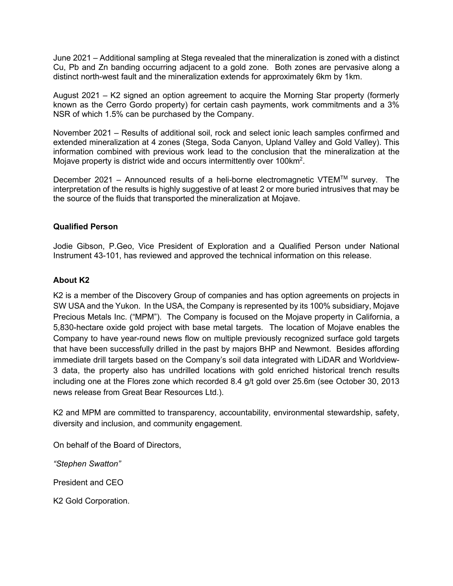June 2021 – Additional sampling at Stega revealed that the mineralization is zoned with a distinct Cu, Pb and Zn banding occurring adjacent to a gold zone. Both zones are pervasive along a distinct north-west fault and the mineralization extends for approximately 6km by 1km.

August 2021 – K2 signed an option agreement to acquire the Morning Star property (formerly known as the Cerro Gordo property) for certain cash payments, work commitments and a 3% NSR of which 1.5% can be purchased by the Company.

November 2021 – Results of additional soil, rock and select ionic leach samples confirmed and extended mineralization at 4 zones (Stega, Soda Canyon, Upland Valley and Gold Valley). This information combined with previous work lead to the conclusion that the mineralization at the Mojave property is district wide and occurs intermittently over 100km<sup>2</sup>.

December 2021 – Announced results of a heli-borne electromagnetic VTEMTM survey. The interpretation of the results is highly suggestive of at least 2 or more buried intrusives that may be the source of the fluids that transported the mineralization at Mojave.

## **Qualified Person**

Jodie Gibson, P.Geo, Vice President of Exploration and a Qualified Person under National Instrument 43-101, has reviewed and approved the technical information on this release.

## **About K2**

K2 is a member of the Discovery Group of companies and has option agreements on projects in SW USA and the Yukon. In the USA, the Company is represented by its 100% subsidiary, Mojave Precious Metals Inc. ("MPM"). The Company is focused on the Mojave property in California, a 5,830-hectare oxide gold project with base metal targets. The location of Mojave enables the Company to have year-round news flow on multiple previously recognized surface gold targets that have been successfully drilled in the past by majors BHP and Newmont. Besides affording immediate drill targets based on the Company's soil data integrated with LiDAR and Worldview-3 data, the property also has undrilled locations with gold enriched historical trench results including one at the Flores zone which recorded 8.4 g/t gold over 25.6m (see October 30, 2013 news release from Great Bear Resources Ltd.).

K2 and MPM are committed to transparency, accountability, environmental stewardship, safety, diversity and inclusion, and community engagement.

On behalf of the Board of Directors,

*"Stephen Swatton"*

President and CEO

K2 Gold Corporation.